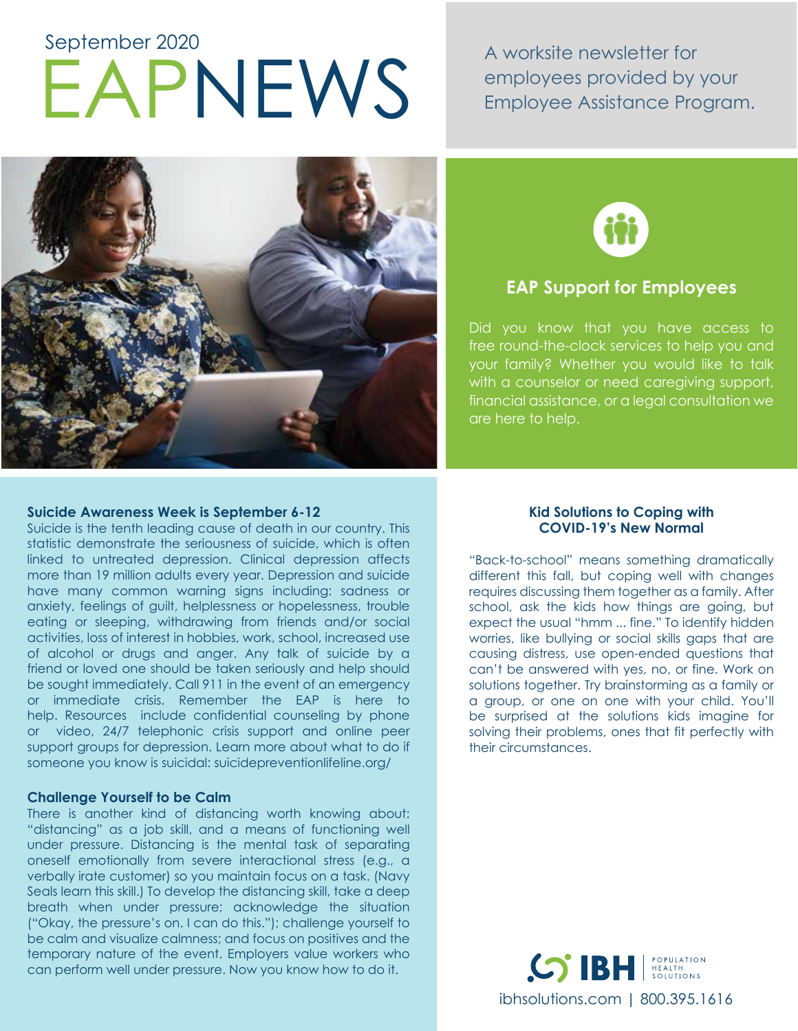# EAPNEWS A worksite newsletter for<br>
EAPNEWS Employee Assistance Pro September 2020

employees provided by your Employee Assistance Program.





# **EAP Support for Employees**

Did you know that you have access to free round-the-clock services to help you and your family? Whether you would like to talk with a counselor or need caregiving support, financial assistance, or a legal consultation we are here to help.

### **Suicide Awareness Week is September 6-12**

Suicide is the tenth leading cause of death in our country. This statistic demonstrate the seriousness of suicide, which is often linked to untreated depression. Clinical depression affects more than 19 million adults every year. Depression and suicide have many common warning signs including: sadness or anxiety, feelings of guilt, helplessness or hopelessness, trouble eating or sleeping, withdrawing from friends and/or social activities, loss of interest in hobbies, work, school, increased use of alcohol or drugs and anger. Any talk of suicide by a friend or loved one should be taken seriously and help should be sought immediately. Call 911 in the event of an emergency or immediate crisis. Remember the EAP is here to help. Resources include confidential counseling by phone or video, 24/7 telephonic crisis support and online peer support groups for depression. Learn more about what to do if someone you know is suicidal: suicidepreventionlifeline.org/

#### **Challenge Yourself to be Calm**

There is another kind of distancing worth knowing about: "distancing" as a job skill, and a means of functioning well under pressure. Distancing is the mental task of separating oneself emotionally from severe interactional stress (e.g., a verbally irate customer) so you maintain focus on a task. (Navy Seals learn this skill.) To develop the distancing skill, take a deep breath when under pressure; acknowledge the situation ("Okay, the pressure's on. I can do this."); challenge yourself to be calm and visualize calmness; and focus on positives and the temporary nature of the event. Employers value workers who can perform well under pressure. Now you know how to do it.

#### **Kid Solutions to Coping with COVID-19's New Normal**

"Back-to-school" means something dramatically different this fall, but coping well with changes requires discussing them together as a family. After school, ask the kids how things are going, but expect the usual "hmm ... fine." To identify hidden worries, like bullying or social skills gaps that are causing distress, use open-ended questions that can't be answered with yes, no, or fine. Work on solutions together. Try brainstorming as a family or a group, or one on one with your child. You'll be surprised at the solutions kids imagine for solving their problems, ones that fit perfectly with their circumstances.